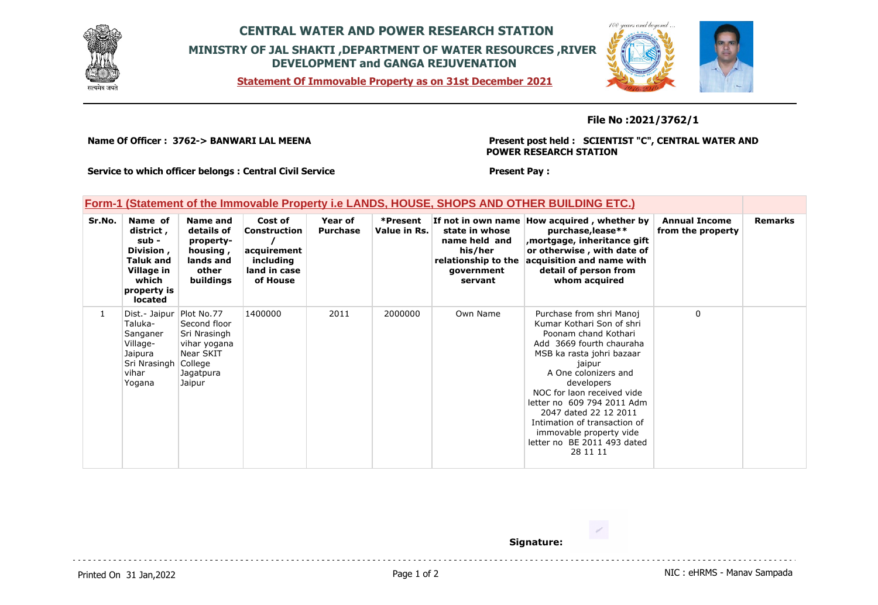

## **CENTRAL WATER AND POWER RESEARCH STATION MINISTRY OF JAL SHAKTI ,DEPARTMENT OF WATER RESOURCES ,RIVER DEVELOPMENT and GANGA REJUVENATION**

**Statement Of Immovable Property as on 31st December 2021**

## **File No :2021/3762/1**

**Name Of Officer : 3762-> BANWARI LAL MEENA** 

**Present post held : SCIENTIST "C", CENTRAL WATER AND POWER RESEARCH STATION**

 $100$  your and  $\hbar$ 

**Service to which officer belongs : Central Civil Service**

**Present Pay :** 

## **Form-1 (Statement of the Immovable Property i.e LANDS, HOUSE, SHOPS AND OTHER BUILDING ETC.)**

| Sr.No. | Name of<br>district ,<br>sub -<br>Division,<br><b>Taluk and</b><br>Village in<br>which<br>property is<br><b>located</b> | Name and<br>details of<br>property-<br>housing,<br>lands and<br>other<br>buildings                        | Cost of<br><b>Construction</b><br>acquirement<br>including<br>land in case<br>of House | Year of<br><b>Purchase</b> | *Present<br>Value in Rs. | If not in own name l<br>state in whose<br>name held and<br>his/her<br>relationship to the<br>government<br>servant | How acquired, whether by<br>purchase, lease**<br>mortgage, inheritance gift,<br>or otherwise, with date of<br>acquisition and name with<br>detail of person from<br>whom acquired                                                                                                                                                                                                 | <b>Annual Income</b><br>from the property | <b>Remarks</b> |
|--------|-------------------------------------------------------------------------------------------------------------------------|-----------------------------------------------------------------------------------------------------------|----------------------------------------------------------------------------------------|----------------------------|--------------------------|--------------------------------------------------------------------------------------------------------------------|-----------------------------------------------------------------------------------------------------------------------------------------------------------------------------------------------------------------------------------------------------------------------------------------------------------------------------------------------------------------------------------|-------------------------------------------|----------------|
| 1      | Dist.- Jaipur<br>Taluka-<br>Sanganer<br>Village-<br>Jaipura<br>Sri Nrasingh<br>vihar<br>Yogana                          | Plot No.77<br>Second floor<br>Sri Nrasingh<br>vihar yogana<br>Near SKIT<br>College<br>Jagatpura<br>Jaipur | 1400000                                                                                | 2011                       | 2000000                  | Own Name                                                                                                           | Purchase from shri Manoj<br>Kumar Kothari Son of shri<br>Poonam chand Kothari<br>Add 3669 fourth chauraha<br>MSB ka rasta johri bazaar<br>jaipur<br>A One colonizers and<br>developers<br>NOC for laon received vide<br>letter no 609 794 2011 Adm<br>2047 dated 22 12 2011<br>Intimation of transaction of<br>immovable property vide<br>letter no BE 2011 493 dated<br>28 11 11 | 0                                         |                |

**Signature:**